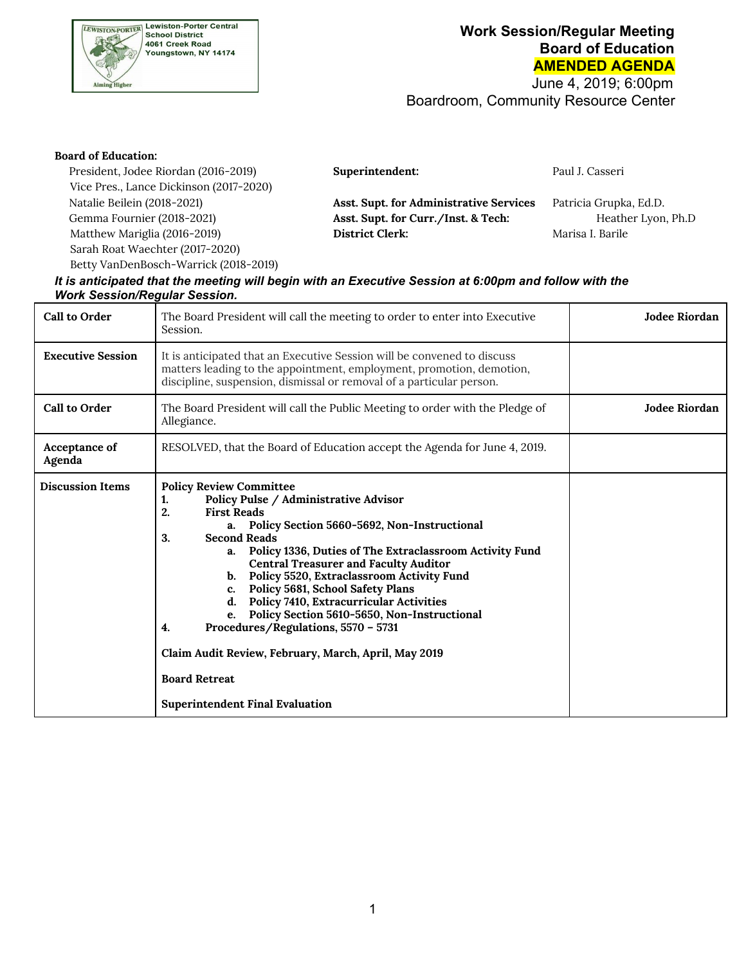

 June 4, 2019; 6:00pm Boardroom, Community Resource Center

| <b>Board of Education:</b>              |                                         |                        |
|-----------------------------------------|-----------------------------------------|------------------------|
| President, Jodee Riordan (2016-2019)    | Superintendent:                         | Paul J. Casseri        |
| Vice Pres., Lance Dickinson (2017-2020) |                                         |                        |
| Natalie Beilein (2018-2021)             | Asst. Supt. for Administrative Services | Patricia Grupka, Ed.D. |
| Gemma Fournier (2018-2021)              | Asst. Supt. for Curr./Inst. & Tech:     | Heather Lyon, Ph.D     |
| Matthew Mariglia (2016-2019)            | <b>District Clerk:</b>                  | Marisa I. Barile       |
| Sarah Roat Waechter (2017-2020)         |                                         |                        |
| Betty VanDenBosch-Warrick (2018-2019)   |                                         |                        |

#### lt is anticipated that the meeting will begin with an Executive Session at 6:00pm and follow with the *Work Session/Regular Session.*

| <b>Call to Order</b>     | The Board President will call the meeting to order to enter into Executive<br>Session.                                                                                                                                                                                                                                                                                                                                                                                                                                                                                                                                                                               | Jodee Riordan |
|--------------------------|----------------------------------------------------------------------------------------------------------------------------------------------------------------------------------------------------------------------------------------------------------------------------------------------------------------------------------------------------------------------------------------------------------------------------------------------------------------------------------------------------------------------------------------------------------------------------------------------------------------------------------------------------------------------|---------------|
| <b>Executive Session</b> | It is anticipated that an Executive Session will be convened to discuss<br>matters leading to the appointment, employment, promotion, demotion,<br>discipline, suspension, dismissal or removal of a particular person.                                                                                                                                                                                                                                                                                                                                                                                                                                              |               |
| <b>Call to Order</b>     | The Board President will call the Public Meeting to order with the Pledge of<br>Allegiance.                                                                                                                                                                                                                                                                                                                                                                                                                                                                                                                                                                          | Jodee Riordan |
| Acceptance of<br>Agenda  | RESOLVED, that the Board of Education accept the Agenda for June 4, 2019.                                                                                                                                                                                                                                                                                                                                                                                                                                                                                                                                                                                            |               |
| <b>Discussion Items</b>  | <b>Policy Review Committee</b><br>Policy Pulse / Administrative Advisor<br>1.<br>2.<br><b>First Reads</b><br>a. Policy Section 5660-5692, Non-Instructional<br>3.<br><b>Second Reads</b><br>a. Policy 1336, Duties of The Extraclassroom Activity Fund<br><b>Central Treasurer and Faculty Auditor</b><br>b. Policy 5520, Extraclassroom Activity Fund<br>c. Policy 5681, School Safety Plans<br>d. Policy 7410, Extracurricular Activities<br>e. Policy Section 5610-5650, Non-Instructional<br>Procedures/Regulations, 5570 - 5731<br>4.<br>Claim Audit Review, February, March, April, May 2019<br><b>Board Retreat</b><br><b>Superintendent Final Evaluation</b> |               |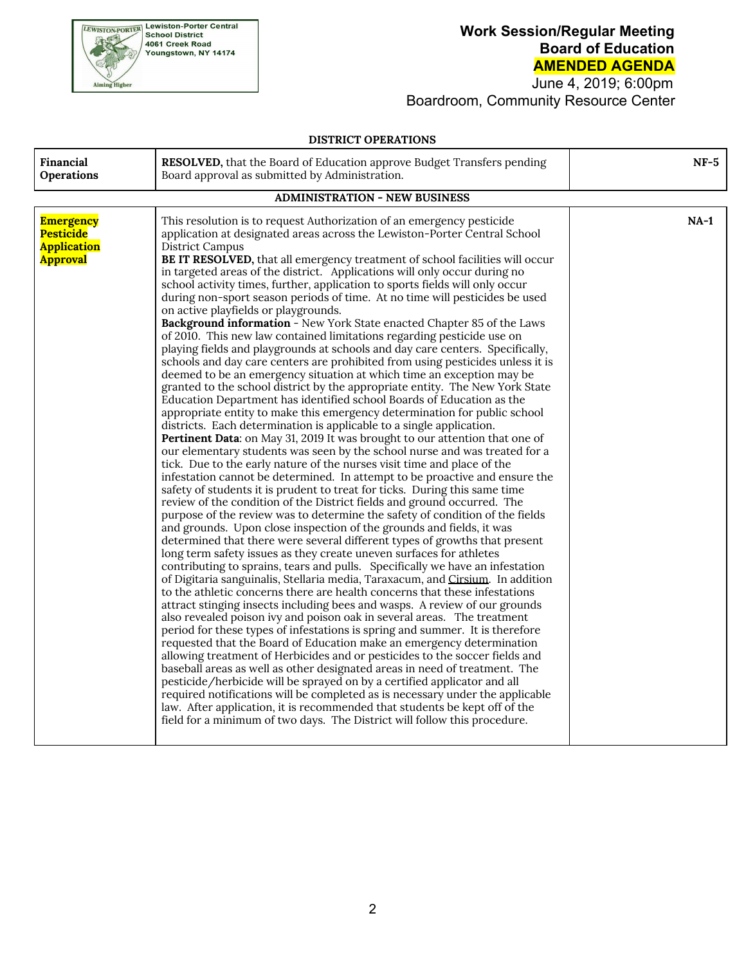

 June 4, 2019; 6:00pm Boardroom, Community Resource Center

#### **DISTRICT OPERATIONS**

| <b>Financial</b><br>Operations                                                | RESOLVED, that the Board of Education approve Budget Transfers pending<br>Board approval as submitted by Administration.                                                                                                                                                                                                                                                                                                                                                                                                                                                                                                                                                                                                                                                                                                                                                                                                                                                                                                                                                                                                                                                                                                                                                                                                                                                                                                                                                                                                                                                                                                                                                                                                                                                                                                                                                                                                                                                                                                                                                                                                                                                                                                                                                                                                                                                                                                                                                                                                                                                                                                                                                                                                                                                                                                                                                                                                                                                                                                                                                                                            | $NF-5$ |  |
|-------------------------------------------------------------------------------|---------------------------------------------------------------------------------------------------------------------------------------------------------------------------------------------------------------------------------------------------------------------------------------------------------------------------------------------------------------------------------------------------------------------------------------------------------------------------------------------------------------------------------------------------------------------------------------------------------------------------------------------------------------------------------------------------------------------------------------------------------------------------------------------------------------------------------------------------------------------------------------------------------------------------------------------------------------------------------------------------------------------------------------------------------------------------------------------------------------------------------------------------------------------------------------------------------------------------------------------------------------------------------------------------------------------------------------------------------------------------------------------------------------------------------------------------------------------------------------------------------------------------------------------------------------------------------------------------------------------------------------------------------------------------------------------------------------------------------------------------------------------------------------------------------------------------------------------------------------------------------------------------------------------------------------------------------------------------------------------------------------------------------------------------------------------------------------------------------------------------------------------------------------------------------------------------------------------------------------------------------------------------------------------------------------------------------------------------------------------------------------------------------------------------------------------------------------------------------------------------------------------------------------------------------------------------------------------------------------------------------------------------------------------------------------------------------------------------------------------------------------------------------------------------------------------------------------------------------------------------------------------------------------------------------------------------------------------------------------------------------------------------------------------------------------------------------------------------------------------|--------|--|
| <b>ADMINISTRATION - NEW BUSINESS</b>                                          |                                                                                                                                                                                                                                                                                                                                                                                                                                                                                                                                                                                                                                                                                                                                                                                                                                                                                                                                                                                                                                                                                                                                                                                                                                                                                                                                                                                                                                                                                                                                                                                                                                                                                                                                                                                                                                                                                                                                                                                                                                                                                                                                                                                                                                                                                                                                                                                                                                                                                                                                                                                                                                                                                                                                                                                                                                                                                                                                                                                                                                                                                                                     |        |  |
| <b>Emergency</b><br><b>Pesticide</b><br><b>Application</b><br><b>Approval</b> | This resolution is to request Authorization of an emergency pesticide<br>application at designated areas across the Lewiston-Porter Central School<br><b>District Campus</b><br>BE IT RESOLVED, that all emergency treatment of school facilities will occur<br>in targeted areas of the district. Applications will only occur during no<br>school activity times, further, application to sports fields will only occur<br>during non-sport season periods of time. At no time will pesticides be used<br>on active playfields or playgrounds.<br>Background information - New York State enacted Chapter 85 of the Laws<br>of 2010. This new law contained limitations regarding pesticide use on<br>playing fields and playgrounds at schools and day care centers. Specifically,<br>schools and day care centers are prohibited from using pesticides unless it is<br>deemed to be an emergency situation at which time an exception may be<br>granted to the school district by the appropriate entity. The New York State<br>Education Department has identified school Boards of Education as the<br>appropriate entity to make this emergency determination for public school<br>districts. Each determination is applicable to a single application.<br>Pertinent Data: on May 31, 2019 It was brought to our attention that one of<br>our elementary students was seen by the school nurse and was treated for a<br>tick. Due to the early nature of the nurses visit time and place of the<br>infestation cannot be determined. In attempt to be proactive and ensure the<br>safety of students it is prudent to treat for ticks. During this same time<br>review of the condition of the District fields and ground occurred. The<br>purpose of the review was to determine the safety of condition of the fields<br>and grounds. Upon close inspection of the grounds and fields, it was<br>determined that there were several different types of growths that present<br>long term safety issues as they create uneven surfaces for athletes<br>contributing to sprains, tears and pulls. Specifically we have an infestation<br>of Digitaria sanguinalis, Stellaria media, Taraxacum, and Cirsium. In addition<br>to the athletic concerns there are health concerns that these infestations<br>attract stinging insects including bees and wasps. A review of our grounds<br>also revealed poison ivy and poison oak in several areas. The treatment<br>period for these types of infestations is spring and summer. It is therefore<br>requested that the Board of Education make an emergency determination<br>allowing treatment of Herbicides and or pesticides to the soccer fields and<br>baseball areas as well as other designated areas in need of treatment. The<br>pesticide/herbicide will be sprayed on by a certified applicator and all<br>required notifications will be completed as is necessary under the applicable<br>law. After application, it is recommended that students be kept off of the<br>field for a minimum of two days. The District will follow this procedure. | $NA-1$ |  |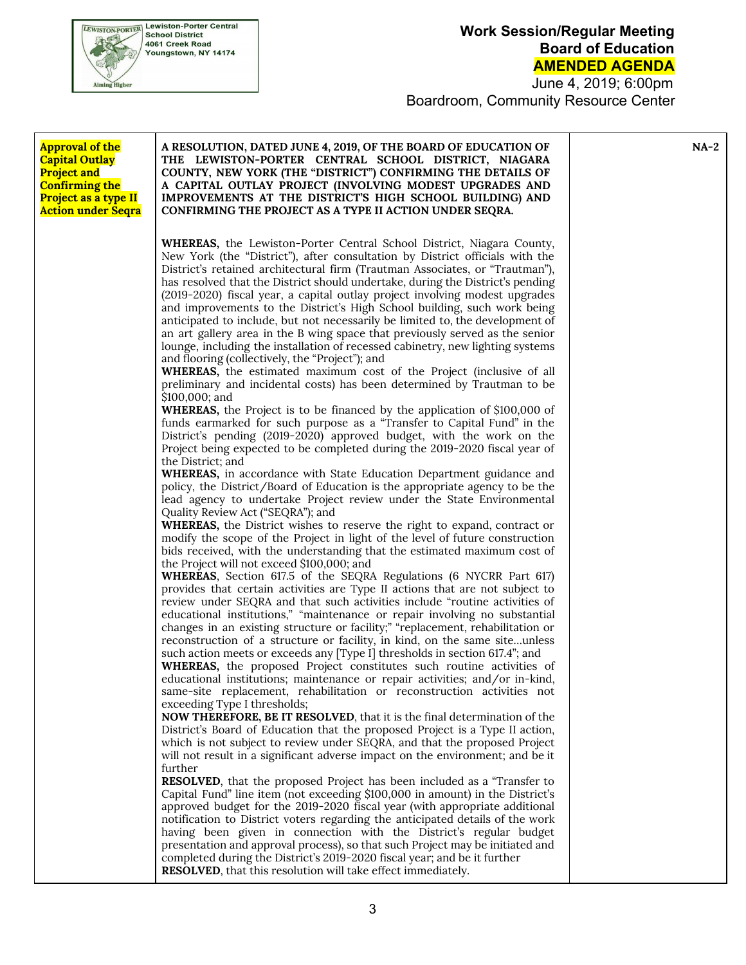

 June 4, 2019; 6:00pm Boardroom, Community Resource Center

| <b>Approval of the</b><br><b>Capital Outlay</b><br><b>Project and</b><br><b>Confirming the</b><br>Project as a type II<br><b>Action under Seqra</b> | A RESOLUTION, DATED JUNE 4, 2019, OF THE BOARD OF EDUCATION OF<br>THE LEWISTON-PORTER CENTRAL SCHOOL DISTRICT, NIAGARA<br>COUNTY, NEW YORK (THE "DISTRICT") CONFIRMING THE DETAILS OF<br>A CAPITAL OUTLAY PROJECT (INVOLVING MODEST UPGRADES AND<br>IMPROVEMENTS AT THE DISTRICT'S HIGH SCHOOL BUILDING) AND<br>CONFIRMING THE PROJECT AS A TYPE II ACTION UNDER SEQRA.                                                                                                                                                                                                                                                                                                                                                                                                                                                                                                                                                                             | $NA-2$ |
|-----------------------------------------------------------------------------------------------------------------------------------------------------|-----------------------------------------------------------------------------------------------------------------------------------------------------------------------------------------------------------------------------------------------------------------------------------------------------------------------------------------------------------------------------------------------------------------------------------------------------------------------------------------------------------------------------------------------------------------------------------------------------------------------------------------------------------------------------------------------------------------------------------------------------------------------------------------------------------------------------------------------------------------------------------------------------------------------------------------------------|--------|
|                                                                                                                                                     | <b>WHEREAS</b> , the Lewiston-Porter Central School District, Niagara County,<br>New York (the "District"), after consultation by District officials with the<br>District's retained architectural firm (Trautman Associates, or "Trautman"),<br>has resolved that the District should undertake, during the District's pending<br>(2019-2020) fiscal year, a capital outlay project involving modest upgrades<br>and improvements to the District's High School building, such work being<br>anticipated to include, but not necessarily be limited to, the development of<br>an art gallery area in the B wing space that previously served as the senior<br>lounge, including the installation of recessed cabinetry, new lighting systems<br>and flooring (collectively, the "Project"); and<br>WHEREAS, the estimated maximum cost of the Project (inclusive of all<br>preliminary and incidental costs) has been determined by Trautman to be |        |
|                                                                                                                                                     | \$100,000; and<br><b>WHEREAS</b> , the Project is to be financed by the application of \$100,000 of<br>funds earmarked for such purpose as a "Transfer to Capital Fund" in the<br>District's pending (2019-2020) approved budget, with the work on the<br>Project being expected to be completed during the 2019-2020 fiscal year of<br>the District; and<br><b>WHEREAS</b> , in accordance with State Education Department guidance and<br>policy, the District/Board of Education is the appropriate agency to be the<br>lead agency to undertake Project review under the State Environmental<br>Quality Review Act ("SEQRA"); and                                                                                                                                                                                                                                                                                                               |        |
|                                                                                                                                                     | <b>WHEREAS</b> , the District wishes to reserve the right to expand, contract or<br>modify the scope of the Project in light of the level of future construction<br>bids received, with the understanding that the estimated maximum cost of<br>the Project will not exceed \$100,000; and<br><b>WHEREAS</b> , Section 617.5 of the SEQRA Regulations (6 NYCRR Part 617)<br>provides that certain activities are Type II actions that are not subject to<br>review under SEQRA and that such activities include "routine activities of<br>educational institutions," "maintenance or repair involving no substantial<br>changes in an existing structure or facility;" "replacement, rehabilitation or                                                                                                                                                                                                                                              |        |
|                                                                                                                                                     | reconstruction of a structure or facility, in kind, on the same siteunless<br>such action meets or exceeds any [Type I] thresholds in section 617.4"; and<br><b>WHEREAS</b> , the proposed Project constitutes such routine activities of<br>educational institutions; maintenance or repair activities; and/or in-kind,<br>same-site replacement, rehabilitation or reconstruction activities not<br>exceeding Type I thresholds;<br>NOW THEREFORE, BE IT RESOLVED, that it is the final determination of the<br>District's Board of Education that the proposed Project is a Type II action,<br>which is not subject to review under SEQRA, and that the proposed Project<br>will not result in a significant adverse impact on the environment; and be it                                                                                                                                                                                        |        |
|                                                                                                                                                     | further<br><b>RESOLVED</b> , that the proposed Project has been included as a "Transfer to<br>Capital Fund" line item (not exceeding \$100,000 in amount) in the District's<br>approved budget for the 2019-2020 fiscal year (with appropriate additional<br>notification to District voters regarding the anticipated details of the work<br>having been given in connection with the District's regular budget<br>presentation and approval process), so that such Project may be initiated and<br>completed during the District's 2019-2020 fiscal year; and be it further<br>RESOLVED, that this resolution will take effect immediately.                                                                                                                                                                                                                                                                                                       |        |